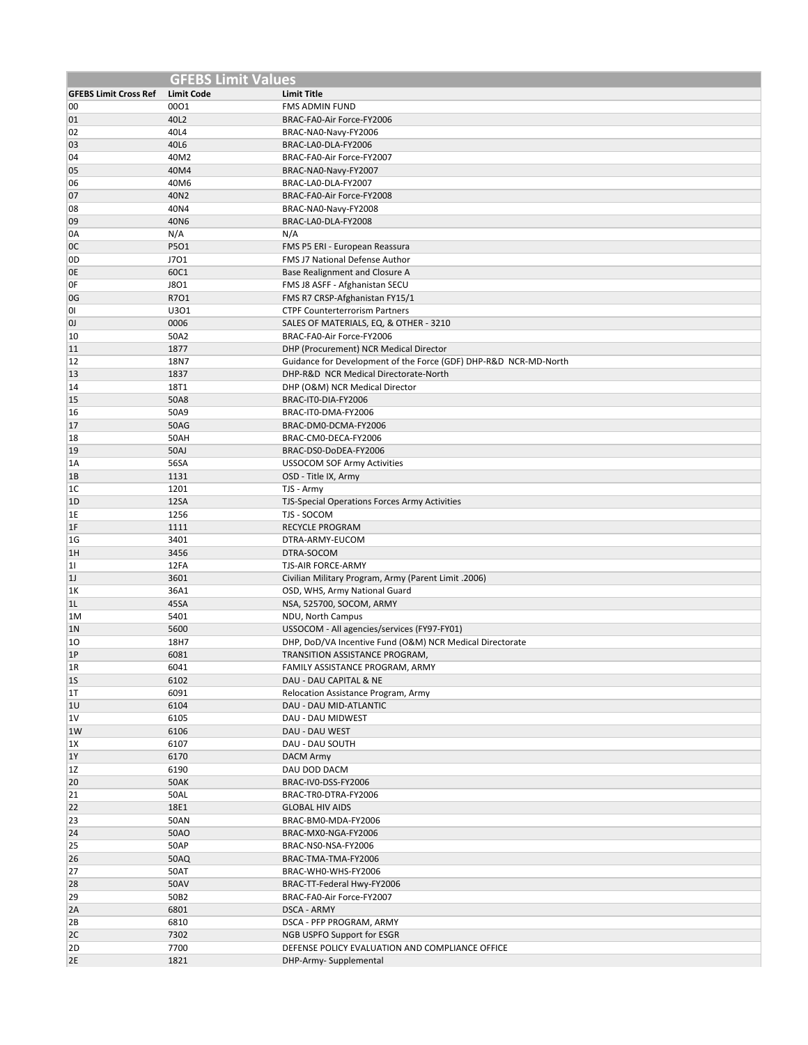|                              | <b>GFEBS Limit Values</b> |                                                                     |
|------------------------------|---------------------------|---------------------------------------------------------------------|
| <b>GFEBS Limit Cross Ref</b> | <b>Limit Code</b>         | <b>Limit Title</b>                                                  |
| 00                           | 0001                      | <b>FMS ADMIN FUND</b>                                               |
| 01                           | 40L2                      | BRAC-FA0-Air Force-FY2006                                           |
| 02                           | 40L4                      | BRAC-NA0-Navy-FY2006                                                |
| 03                           | 40L6                      | BRAC-LAO-DLA-FY2006                                                 |
| 04                           | 40M2                      | BRAC-FA0-Air Force-FY2007                                           |
| 05                           | 40M4                      | BRAC-NA0-Navy-FY2007                                                |
| 06                           | 40M6                      | BRAC-LA0-DLA-FY2007                                                 |
| 07                           | 40N2                      | BRAC-FA0-Air Force-FY2008                                           |
| 08                           | 40N4                      | BRAC-NA0-Navy-FY2008                                                |
| 09                           | 40N6                      | BRAC-LAO-DLA-FY2008                                                 |
| 0A                           | N/A                       | N/A                                                                 |
| <sub>0</sub> C               | P501                      | FMS P5 ERI - European Reassura                                      |
| 0D                           | J701                      | FMS J7 National Defense Author                                      |
| 0E                           | 60C1                      | Base Realignment and Closure A                                      |
| 0F                           | <b>J8O1</b>               | FMS J8 ASFF - Afghanistan SECU                                      |
| 0G                           | R701                      | FMS R7 CRSP-Afghanistan FY15/1                                      |
| 01                           | U301                      | <b>CTPF Counterterrorism Partners</b>                               |
| <sub>0</sub>                 | 0006<br>50A2              | SALES OF MATERIALS, EQ, & OTHER - 3210<br>BRAC-FA0-Air Force-FY2006 |
| 10<br>11                     | 1877                      | DHP (Procurement) NCR Medical Director                              |
| 12                           | 18N7                      | Guidance for Development of the Force (GDF) DHP-R&D NCR-MD-North    |
| 13                           | 1837                      | DHP-R&D NCR Medical Directorate-North                               |
| 14                           | 18T1                      | DHP (O&M) NCR Medical Director                                      |
| 15                           | 50A8                      | BRAC-IT0-DIA-FY2006                                                 |
| 16                           | 50A9                      | BRAC-IT0-DMA-FY2006                                                 |
| 17                           | <b>50AG</b>               | BRAC-DM0-DCMA-FY2006                                                |
| 18                           | 50AH                      | BRAC-CM0-DECA-FY2006                                                |
| 19                           | <b>50AJ</b>               | BRAC-DS0-DoDEA-FY2006                                               |
| 1A                           | 56SA                      | <b>USSOCOM SOF Army Activities</b>                                  |
| 1B                           | 1131                      | OSD - Title IX, Army                                                |
| 1C                           | 1201                      | TJS - Army                                                          |
| 1D                           | 12SA                      | TJS-Special Operations Forces Army Activities                       |
| 1E                           | 1256                      | TJS - SOCOM                                                         |
| 1F                           | 1111                      | <b>RECYCLE PROGRAM</b>                                              |
| 1 <sub>G</sub>               | 3401                      | DTRA-ARMY-EUCOM                                                     |
| 1H                           | 3456                      | DTRA-SOCOM                                                          |
| 1                            | 12FA                      | TJS-AIR FORCE-ARMY                                                  |
| 1J                           | 3601                      | Civilian Military Program, Army (Parent Limit .2006)                |
| 1K                           | 36A1                      | OSD, WHS, Army National Guard                                       |
| 1L                           | 45SA                      | NSA, 525700, SOCOM, ARMY                                            |
| 1M                           | 5401                      | NDU, North Campus                                                   |
| 1 <sub>N</sub>               | 5600                      | USSOCOM - All agencies/services (FY97-FY01)                         |
| 10                           | 18H7                      | DHP, DoD/VA Incentive Fund (O&M) NCR Medical Directorate            |
| 1P                           | 6081                      | TRANSITION ASSISTANCE PROGRAM,                                      |
| 1R                           | 6041                      | FAMILY ASSISTANCE PROGRAM, ARMY                                     |
| 1S                           | 6102                      | DAU - DAU CAPITAL & NE                                              |
| 1T<br>10                     | 6091<br>6104              | Relocation Assistance Program, Army<br>DAU - DAU MID-ATLANTIC       |
| 1V                           | 6105                      | DAU - DAU MIDWEST                                                   |
| 1W                           | 6106                      | DAU - DAU WEST                                                      |
| 1X                           | 6107                      | DAU - DAU SOUTH                                                     |
| 1Y                           | 6170                      | <b>DACM Army</b>                                                    |
| 1Z                           | 6190                      | DAU DOD DACM                                                        |
| 20                           | <b>50AK</b>               | BRAC-IV0-DSS-FY2006                                                 |
| 21                           | 50AL                      | BRAC-TRO-DTRA-FY2006                                                |
| 22                           | 18E1                      | <b>GLOBAL HIV AIDS</b>                                              |
| 23                           | <b>50AN</b>               | BRAC-BM0-MDA-FY2006                                                 |
| 24                           | 50AO                      | BRAC-MX0-NGA-FY2006                                                 |
| 25                           | 50AP                      | BRAC-NS0-NSA-FY2006                                                 |
| 26                           | 50AQ                      | BRAC-TMA-TMA-FY2006                                                 |
| 27                           | 50AT                      | BRAC-WHO-WHS-FY2006                                                 |
| 28                           | <b>50AV</b>               | BRAC-TT-Federal Hwy-FY2006                                          |
| 29                           | 50B2                      | BRAC-FA0-Air Force-FY2007                                           |
| 2A                           | 6801                      | DSCA - ARMY                                                         |
| 2B                           | 6810                      | DSCA - PFP PROGRAM, ARMY                                            |
| 2C                           | 7302                      | NGB USPFO Support for ESGR                                          |
| 2D                           | 7700                      | DEFENSE POLICY EVALUATION AND COMPLIANCE OFFICE                     |
| 2E                           | 1821                      | DHP-Army- Supplemental                                              |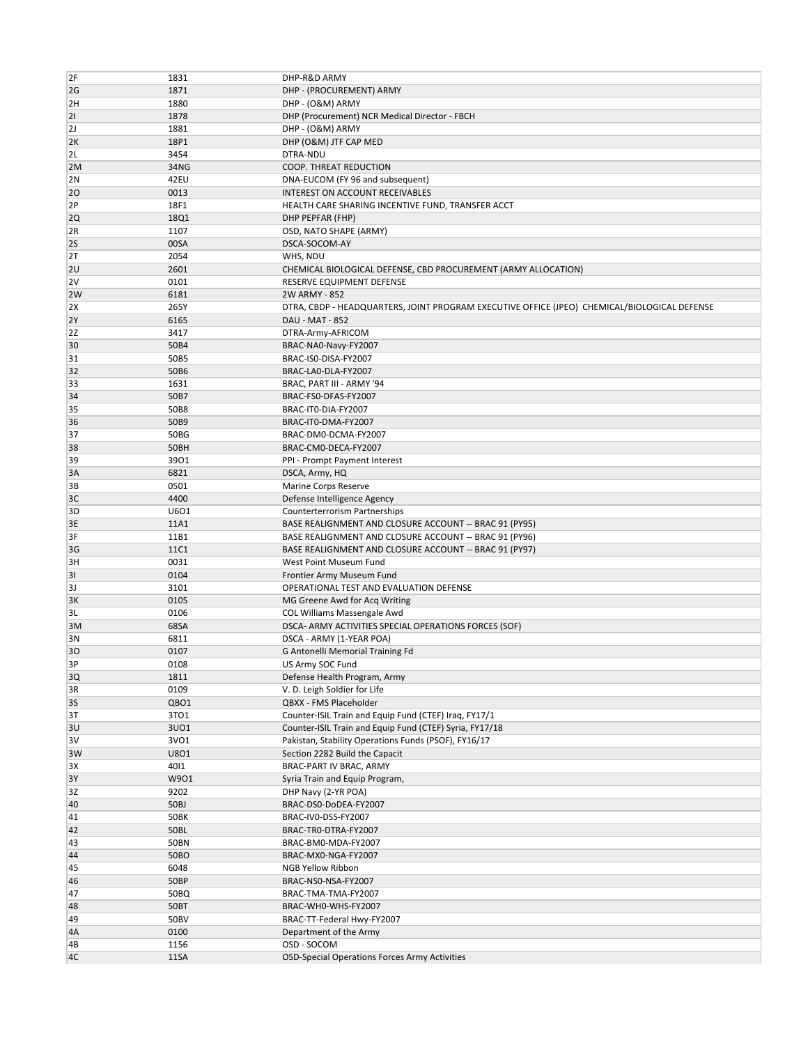| 2F       | 1831         | DHP-R&D ARMY                                                                                 |
|----------|--------------|----------------------------------------------------------------------------------------------|
| 2G       | 1871         | DHP - (PROCUREMENT) ARMY                                                                     |
| 2H       | 1880         | DHP - (O&M) ARMY                                                                             |
| 21       | 1878         | DHP (Procurement) NCR Medical Director - FBCH                                                |
| 2J       | 1881         | DHP - (O&M) ARMY                                                                             |
| 2K       | 18P1         | DHP (O&M) JTF CAP MED                                                                        |
| 2L       | 3454         | DTRA-NDU                                                                                     |
| 2M       | 34NG         | COOP. THREAT REDUCTION                                                                       |
| 2N       | 42EU         | DNA-EUCOM (FY 96 and subsequent)                                                             |
| 20       | 0013         | INTEREST ON ACCOUNT RECEIVABLES                                                              |
| 2P       | 18F1         | HEALTH CARE SHARING INCENTIVE FUND, TRANSFER ACCT                                            |
| 2Q       | 18Q1         | DHP PEPFAR (FHP)                                                                             |
| 2R       | 1107         | OSD, NATO SHAPE (ARMY)                                                                       |
| 2S       | 00SA         |                                                                                              |
|          |              | DSCA-SOCOM-AY                                                                                |
| 2T       | 2054         | WHS, NDU                                                                                     |
| 2U       | 2601         | CHEMICAL BIOLOGICAL DEFENSE, CBD PROCUREMENT (ARMY ALLOCATION)                               |
| 2V       | 0101         | RESERVE EQUIPMENT DEFENSE                                                                    |
| 2W       | 6181         | 2W ARMY - 852                                                                                |
| 2X       | 265Y         | DTRA, CBDP - HEADQUARTERS, JOINT PROGRAM EXECUTIVE OFFICE (JPEO) CHEMICAL/BIOLOGICAL DEFENSE |
| 2Y       | 6165         | DAU - MAT - 852                                                                              |
| 2Z       | 3417         | DTRA-Army-AFRICOM                                                                            |
| 30       | 50B4         | BRAC-NA0-Navy-FY2007                                                                         |
| 31       | 50B5         | BRAC-ISO-DISA-FY2007                                                                         |
| 32       | 50B6         | BRAC-LA0-DLA-FY2007                                                                          |
| 33       | 1631         | BRAC, PART III - ARMY '94                                                                    |
| 34       | 50B7         | BRAC-FS0-DFAS-FY2007                                                                         |
| 35       | 50B8         | BRAC-IT0-DIA-FY2007                                                                          |
| 36       | 50B9         | BRAC-IT0-DMA-FY2007                                                                          |
| 37       | 50BG         | BRAC-DM0-DCMA-FY2007                                                                         |
| 38       | 50BH         | BRAC-CM0-DECA-FY2007                                                                         |
| 39       | 3901         | PPI - Prompt Payment Interest                                                                |
| 3A       | 6821         | DSCA, Army, HQ                                                                               |
| ЗВ       | 0501         | Marine Corps Reserve                                                                         |
| 3C       | 4400         | Defense Intelligence Agency                                                                  |
| 3D       | U601         | Counterterrorism Partnerships                                                                |
| 3E       | 11A1         | BASE REALIGNMENT AND CLOSURE ACCOUNT -- BRAC 91 (PY95)                                       |
| 3F       | 11B1         | BASE REALIGNMENT AND CLOSURE ACCOUNT -- BRAC 91 (PY96)                                       |
| 3G       | <b>11C1</b>  | BASE REALIGNMENT AND CLOSURE ACCOUNT -- BRAC 91 (PY97)                                       |
| 3H       | 0031         | West Point Museum Fund                                                                       |
| 31       | 0104         | Frontier Army Museum Fund                                                                    |
| 3J       | 3101         | OPERATIONAL TEST AND EVALUATION DEFENSE                                                      |
| 3K       | 0105         | MG Greene Awd for Acq Writing                                                                |
| 3L       | 0106         | COL Williams Massengale Awd                                                                  |
| 3M       | 68SA         | DSCA- ARMY ACTIVITIES SPECIAL OPERATIONS FORCES (SOF)                                        |
| 3N       | 6811         | DSCA - ARMY (1-YEAR POA)                                                                     |
| 30       | 0107         | G Antonelli Memorial Training Fd                                                             |
| 3Р       | 0108         | US Army SOC Fund                                                                             |
| 3Q       | 1811         | Defense Health Program, Army                                                                 |
|          | 0109         | V. D. Leigh Soldier for Life                                                                 |
| 3R<br>3S | QBO1         | QBXX - FMS Placeholder                                                                       |
| 3T       | 3TO1         | Counter-ISIL Train and Equip Fund (CTEF) Iraq, FY17/1                                        |
| 3U       | 3U01         | Counter-ISIL Train and Equip Fund (CTEF) Syria, FY17/18                                      |
|          |              |                                                                                              |
| 3V<br>3W | 3VO1<br>U801 | Pakistan, Stability Operations Funds (PSOF), FY16/17<br>Section 2282 Build the Capacit       |
|          |              |                                                                                              |
| ЗΧ       | 4011         | BRAC-PART IV BRAC, ARMY                                                                      |
| 3Y       | W901         | Syria Train and Equip Program,                                                               |
| 3Z       | 9202         | DHP Navy (2-YR POA)                                                                          |
| 40       | 50BJ         | BRAC-DS0-DoDEA-FY2007                                                                        |
| 41       | <b>50BK</b>  | BRAC-IV0-DSS-FY2007                                                                          |
| 42       | 50BL         | BRAC-TRO-DTRA-FY2007                                                                         |
| 43       | <b>50BN</b>  | BRAC-BM0-MDA-FY2007                                                                          |
| 44       | 50BO         | BRAC-MX0-NGA-FY2007                                                                          |
| 45       | 6048         | NGB Yellow Ribbon                                                                            |
| 46       | 50BP         | BRAC-NS0-NSA-FY2007                                                                          |
| 47       | 50BQ         | BRAC-TMA-TMA-FY2007                                                                          |
| 48       |              |                                                                                              |
|          | 50BT         | BRAC-WHO-WHS-FY2007                                                                          |
| 49       | 50BV         | BRAC-TT-Federal Hwy-FY2007                                                                   |
| 4A       | 0100         | Department of the Army                                                                       |
| 4B       | 1156         | OSD - SOCOM                                                                                  |
| 4C       | 11SA         | <b>OSD-Special Operations Forces Army Activities</b>                                         |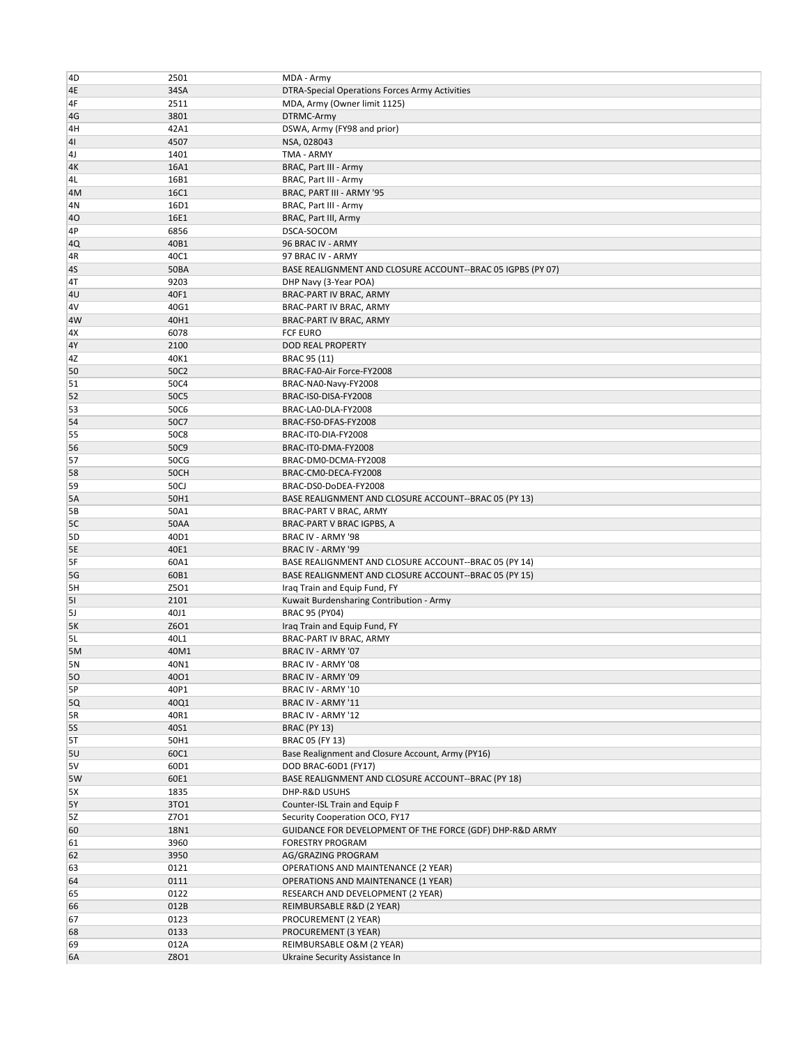| 4D             | 2501        | MDA - Army                                                  |
|----------------|-------------|-------------------------------------------------------------|
| 4E             | 34SA        | DTRA-Special Operations Forces Army Activities              |
|                |             |                                                             |
| 4F             | 2511        | MDA, Army (Owner limit 1125)                                |
| 4G             | 3801        | DTRMC-Army                                                  |
| 4H             | 42A1        | DSWA, Army (FY98 and prior)                                 |
| 41             | 4507        | NSA, 028043                                                 |
| 4 <sub>J</sub> | 1401        | TMA - ARMY                                                  |
| 4K             | 16A1        | BRAC, Part III - Army                                       |
| 4L             | 16B1        | BRAC, Part III - Army                                       |
| 4M             | <b>16C1</b> | BRAC, PART III - ARMY '95                                   |
| 4N             | 16D1        | BRAC, Part III - Army                                       |
| 40             | 16E1        | BRAC, Part III, Army                                        |
|                | 6856        | DSCA-SOCOM                                                  |
| 4P             |             |                                                             |
| 4Q             | 40B1        | 96 BRAC IV - ARMY                                           |
| 4R             | 40C1        | 97 BRAC IV - ARMY                                           |
| 4S             | <b>50BA</b> | BASE REALIGNMENT AND CLOSURE ACCOUNT--BRAC 05 IGPBS (PY 07) |
| 4T             | 9203        | DHP Navy (3-Year POA)                                       |
| 4 <sub>U</sub> | 40F1        | BRAC-PART IV BRAC, ARMY                                     |
| 4V             | 40G1        | BRAC-PART IV BRAC, ARMY                                     |
| 4W             | 40H1        | BRAC-PART IV BRAC, ARMY                                     |
| 4X             | 6078        | <b>FCF EURO</b>                                             |
| 4Y             | 2100        | DOD REAL PROPERTY                                           |
| 4Ζ             | 40K1        |                                                             |
|                |             | BRAC 95 (11)                                                |
| 50             | 50C2        | BRAC-FA0-Air Force-FY2008                                   |
| 51             | 50C4        | BRAC-NA0-Navy-FY2008                                        |
| 52             | 50C5        | BRAC-ISO-DISA-FY2008                                        |
| 53             | <b>50C6</b> | BRAC-LA0-DLA-FY2008                                         |
| 54             | 50C7        | BRAC-FS0-DFAS-FY2008                                        |
| 55             | <b>50C8</b> | BRAC-ITO-DIA-FY2008                                         |
| 56             | 50C9        | BRAC-IT0-DMA-FY2008                                         |
| 57             | 50CG        | BRAC-DM0-DCMA-FY2008                                        |
| 58             | 50CH        | BRAC-CM0-DECA-FY2008                                        |
| 59             | <b>50CJ</b> | BRAC-DS0-DoDEA-FY2008                                       |
| 5A             | 50H1        |                                                             |
|                |             | BASE REALIGNMENT AND CLOSURE ACCOUNT--BRAC 05 (PY 13)       |
| 5В             | 50A1        | BRAC-PART V BRAC, ARMY                                      |
| 5C             | 50AA        | BRAC-PART V BRAC IGPBS, A                                   |
| 5D             | 40D1        | BRAC IV - ARMY '98                                          |
| <b>5E</b>      | 40E1        | BRAC IV - ARMY '99                                          |
| 5F             | 60A1        | BASE REALIGNMENT AND CLOSURE ACCOUNT--BRAC 05 (PY 14)       |
| 5G             | 60B1        | BASE REALIGNMENT AND CLOSURE ACCOUNT--BRAC 05 (PY 15)       |
| 5H             | Z501        | Iraq Train and Equip Fund, FY                               |
| 51             | 2101        | Kuwait Burdensharing Contribution - Army                    |
| 5J             | 40J1        | <b>BRAC 95 (PY04)</b>                                       |
| 5K             | Z6O1        | Iraq Train and Equip Fund, FY                               |
| 5L             | 40L1        |                                                             |
|                |             | BRAC-PART IV BRAC, ARMY                                     |
| 5M             | 40M1        | BRAC IV - ARMY '07                                          |
| 5N             | 40N1        | BRAC IV - ARMY '08                                          |
| 50             | 4001        | BRAC IV - ARMY '09                                          |
| 5P             | 40P1        | BRAC IV - ARMY '10                                          |
| 5Q             | 40Q1        | BRAC IV - ARMY '11                                          |
| 5R             | 40R1        | BRAC IV - ARMY '12                                          |
| <b>5S</b>      | 40S1        | BRAC (PY 13)                                                |
| 5T             | 50H1        | BRAC 05 (FY 13)                                             |
| 5U             | 60C1        | Base Realignment and Closure Account, Army (PY16)           |
| 5V             | 60D1        | DOD BRAC-60D1 (FY17)                                        |
| 5W             | 60E1        | BASE REALIGNMENT AND CLOSURE ACCOUNT--BRAC (PY 18)          |
|                |             |                                                             |
| 5X             | 1835        | DHP-R&D USUHS                                               |
| <b>5Y</b>      | 3TO1        | Counter-ISL Train and Equip F                               |
| 5Z             | Z701        | Security Cooperation OCO, FY17                              |
| 60             | 18N1        | GUIDANCE FOR DEVELOPMENT OF THE FORCE (GDF) DHP-R&D ARMY    |
| 61             | 3960        | <b>FORESTRY PROGRAM</b>                                     |
| 62             | 3950        | AG/GRAZING PROGRAM                                          |
| 63             | 0121        | OPERATIONS AND MAINTENANCE (2 YEAR)                         |
| 64             | 0111        | OPERATIONS AND MAINTENANCE (1 YEAR)                         |
| 65             | 0122        | RESEARCH AND DEVELOPMENT (2 YEAR)                           |
| 66             | 012B        | REIMBURSABLE R&D (2 YEAR)                                   |
|                |             |                                                             |
| 67             | 0123        | PROCUREMENT (2 YEAR)                                        |
| 68             | 0133        | PROCUREMENT (3 YEAR)                                        |
| 69             | 012A        | REIMBURSABLE O&M (2 YEAR)                                   |
| <b>6A</b>      | Z801        | Ukraine Security Assistance In                              |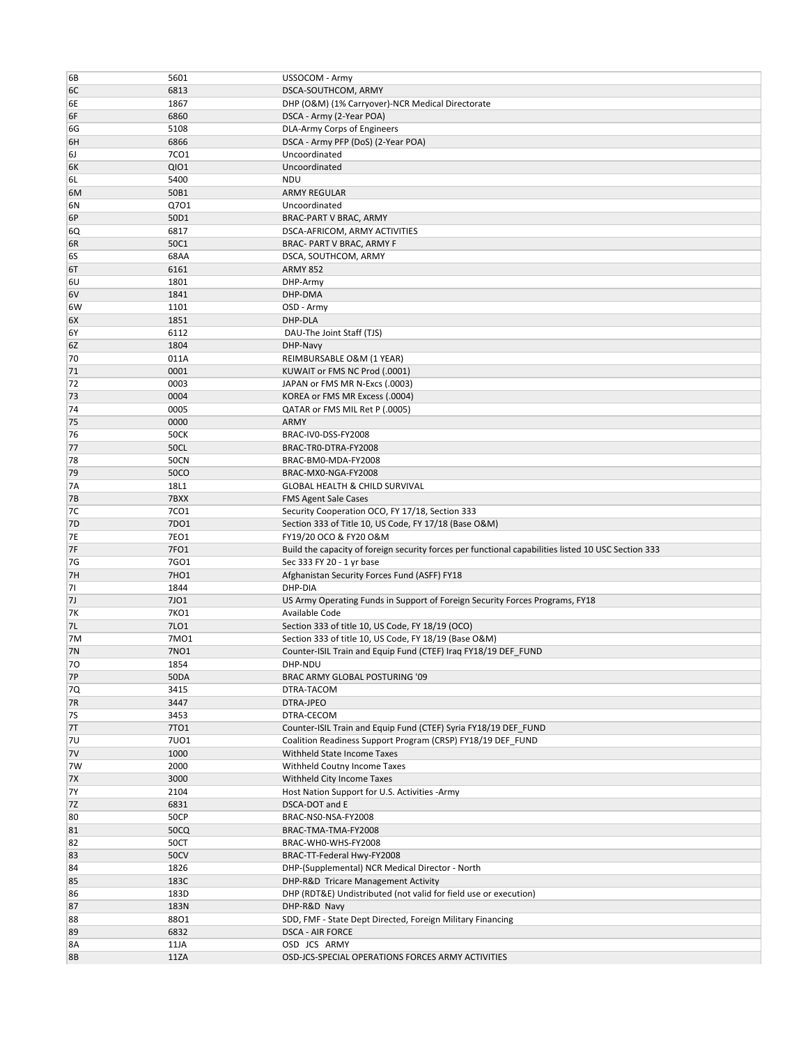| 6B             | 5601             | USSOCOM - Army                                                                                      |
|----------------|------------------|-----------------------------------------------------------------------------------------------------|
| 6C             | 6813             | DSCA-SOUTHCOM, ARMY                                                                                 |
| 6Е             | 1867             | DHP (O&M) (1% Carryover)-NCR Medical Directorate                                                    |
| 6F             | 6860             | DSCA - Army (2-Year POA)                                                                            |
| 6G             | 5108             | DLA-Army Corps of Engineers                                                                         |
|                |                  |                                                                                                     |
| 6H             | 6866             | DSCA - Army PFP (DoS) (2-Year POA)                                                                  |
| 6J             | 7CO1             | Uncoordinated                                                                                       |
| 6K             | <b>QIO1</b>      | Uncoordinated                                                                                       |
| 6L             | 5400             | <b>NDU</b>                                                                                          |
| 6M             | 50B1             | <b>ARMY REGULAR</b>                                                                                 |
| 6N             | Q701             | Uncoordinated                                                                                       |
| 6P             | 50D1             | BRAC-PART V BRAC, ARMY                                                                              |
| 6Q             | 6817             | DSCA-AFRICOM, ARMY ACTIVITIES                                                                       |
| 6R             | 50C1             | BRAC- PART V BRAC, ARMY F                                                                           |
| 6S             | 68AA             | DSCA, SOUTHCOM, ARMY                                                                                |
| 6T             | 6161             | <b>ARMY 852</b>                                                                                     |
| 6U             | 1801             | DHP-Army                                                                                            |
| 6V             | 1841             | DHP-DMA                                                                                             |
| 6W             | 1101             | OSD - Army                                                                                          |
| 6X             | 1851             | DHP-DLA                                                                                             |
| 6Y             | 6112             | DAU-The Joint Staff (TJS)                                                                           |
|                | 1804             |                                                                                                     |
| 6Z             |                  | DHP-Navy                                                                                            |
| 70             | 011A             | REIMBURSABLE O&M (1 YEAR)                                                                           |
| 71             | 0001             | KUWAIT or FMS NC Prod (.0001)                                                                       |
| 72             | 0003             | JAPAN or FMS MR N-Excs (.0003)                                                                      |
| 73             | 0004             | KOREA or FMS MR Excess (.0004)                                                                      |
| 74             | 0005             | QATAR or FMS MIL Ret P (.0005)                                                                      |
| 75             | 0000             | ARMY                                                                                                |
| 76             | <b>50CK</b>      | BRAC-IV0-DSS-FY2008                                                                                 |
| 77             | <b>50CL</b>      | BRAC-TRO-DTRA-FY2008                                                                                |
| 78             | <b>50CN</b>      | BRAC-BM0-MDA-FY2008                                                                                 |
| 79             | <b>50CO</b>      | BRAC-MX0-NGA-FY2008                                                                                 |
| 7A             | 18L1             | <b>GLOBAL HEALTH &amp; CHILD SURVIVAL</b>                                                           |
| <b>7B</b>      | 7BXX             | <b>FMS Agent Sale Cases</b>                                                                         |
| 7C             | 7CO <sub>1</sub> | Security Cooperation OCO, FY 17/18, Section 333                                                     |
|                |                  |                                                                                                     |
|                |                  |                                                                                                     |
| 7 <sub>D</sub> | 7DO1             | Section 333 of Title 10, US Code, FY 17/18 (Base O&M)                                               |
| 7E             | <b>7EO1</b>      | FY19/20 OCO & FY20 O&M                                                                              |
| 7F             | 7FO1             | Build the capacity of foreign security forces per functional capabilities listed 10 USC Section 333 |
| 7G             | 7GO1             | Sec 333 FY 20 - 1 yr base                                                                           |
| 7H             | 7HO1             | Afghanistan Security Forces Fund (ASFF) FY18                                                        |
| 71             | 1844             | DHP-DIA                                                                                             |
| 7J             | 7J01             | US Army Operating Funds in Support of Foreign Security Forces Programs, FY18                        |
| 7K             | 7KO1             | Available Code                                                                                      |
| 7L             | 7LO1             | Section 333 of title 10, US Code, FY 18/19 (OCO)                                                    |
| 7M             | 7M01             | Section 333 of title 10, US Code, FY 18/19 (Base O&M)                                               |
| <b>7N</b>      | 7NO1             | Counter-ISIL Train and Equip Fund (CTEF) Iraq FY18/19 DEF_FUND                                      |
| 70             | 1854             | DHP-NDU                                                                                             |
| <b>7P</b>      | <b>50DA</b>      | BRAC ARMY GLOBAL POSTURING '09                                                                      |
| 7Q             | 3415             | DTRA-TACOM                                                                                          |
| 7R             | 3447             | DTRA-JPEO                                                                                           |
| 7S             | 3453             | DTRA-CECOM                                                                                          |
| 7T             | 7T01             | Counter-ISIL Train and Equip Fund (CTEF) Syria FY18/19 DEF_FUND                                     |
| 7U             | 7U01             | Coalition Readiness Support Program (CRSP) FY18/19 DEF FUND                                         |
| 7V             | 1000             | Withheld State Income Taxes                                                                         |
| 7W             | 2000             |                                                                                                     |
|                |                  | Withheld Coutny Income Taxes                                                                        |
| <b>7X</b>      | 3000             | Withheld City Income Taxes                                                                          |
| 7Y             | 2104             | Host Nation Support for U.S. Activities -Army                                                       |
| 7Z             | 6831             | DSCA-DOT and E                                                                                      |
| 80             | <b>50CP</b>      | BRAC-NS0-NSA-FY2008                                                                                 |
| 81             | 50CQ             | BRAC-TMA-TMA-FY2008                                                                                 |
| 82             | 50CT             | BRAC-WHO-WHS-FY2008                                                                                 |
| 83             | <b>50CV</b>      | BRAC-TT-Federal Hwy-FY2008                                                                          |
| 84             | 1826             | DHP-(Supplemental) NCR Medical Director - North                                                     |
| 85             | 183C             | DHP-R&D Tricare Management Activity                                                                 |
| 86             | 183D             | DHP (RDT&E) Undistributed (not valid for field use or execution)                                    |
| 87             | 183N             | DHP-R&D Navy                                                                                        |
| 88             | 8801             | SDD, FMF - State Dept Directed, Foreign Military Financing                                          |
| 89             | 6832             | <b>DSCA - AIR FORCE</b>                                                                             |
| 8A             | 11JA             | OSD JCS ARMY                                                                                        |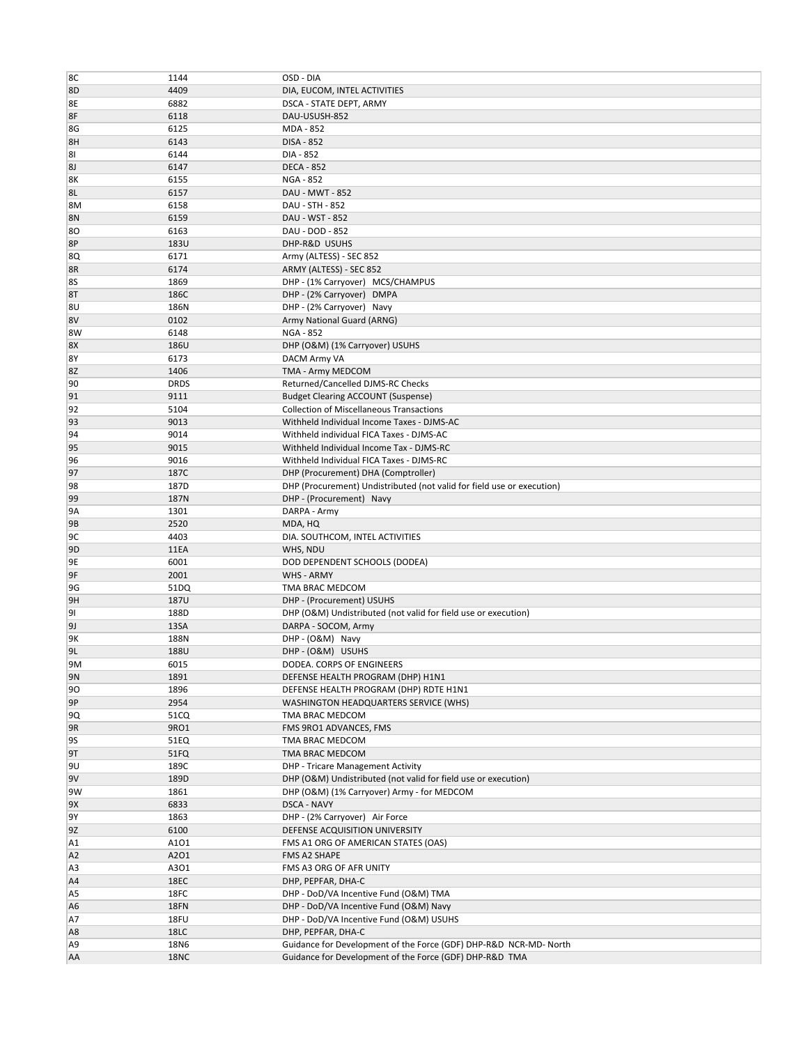| 8C             | 1144                | OSD - DIA                                                                                                                    |
|----------------|---------------------|------------------------------------------------------------------------------------------------------------------------------|
| 8D             | 4409                | DIA, EUCOM, INTEL ACTIVITIES                                                                                                 |
| 8E             | 6882                | DSCA - STATE DEPT, ARMY                                                                                                      |
| 8F             | 6118                | DAU-USUSH-852                                                                                                                |
| 8G             | 6125                | MDA - 852                                                                                                                    |
| 8H             | 6143                | <b>DISA - 852</b>                                                                                                            |
| 81             | 6144                | DIA - 852                                                                                                                    |
|                |                     |                                                                                                                              |
| 8J             | 6147                | <b>DECA - 852</b>                                                                                                            |
| 8K             | 6155                | <b>NGA - 852</b>                                                                                                             |
| 8L             | 6157                | DAU - MWT - 852                                                                                                              |
| 8M             | 6158                | DAU - STH - 852                                                                                                              |
| 8N             | 6159                | DAU - WST - 852                                                                                                              |
| 80             | 6163                | DAU - DOD - 852                                                                                                              |
| 8P             | 183U                | DHP-R&D USUHS                                                                                                                |
| 8Q             | 6171                | Army (ALTESS) - SEC 852                                                                                                      |
| 8R             | 6174                | ARMY (ALTESS) - SEC 852                                                                                                      |
| 8S             | 1869                | DHP - (1% Carryover) MCS/CHAMPUS                                                                                             |
| 8T             | 186C                | DHP - (2% Carryover) DMPA                                                                                                    |
| 8U             | 186N                | DHP - (2% Carryover) Navy                                                                                                    |
| 8V             | 0102                | Army National Guard (ARNG)                                                                                                   |
| 8W             | 6148                | <b>NGA - 852</b>                                                                                                             |
| 8X             | 186U                | DHP (O&M) (1% Carryover) USUHS                                                                                               |
| 8Y             | 6173                | DACM Army VA                                                                                                                 |
| 8Ζ             | 1406                | TMA - Army MEDCOM                                                                                                            |
| 90             | <b>DRDS</b>         | Returned/Cancelled DJMS-RC Checks                                                                                            |
| 91             | 9111                | <b>Budget Clearing ACCOUNT (Suspense)</b>                                                                                    |
| 92             | 5104                | <b>Collection of Miscellaneous Transactions</b>                                                                              |
| 93             | 9013                | Withheld Individual Income Taxes - DJMS-AC                                                                                   |
| 94             | 9014                | Withheld individual FICA Taxes - DJMS-AC                                                                                     |
| 95             | 9015                | Withheld Individual Income Tax - DJMS-RC                                                                                     |
| 96             | 9016                | Withheld Individual FICA Taxes - DJMS-RC                                                                                     |
| 97             | 187C                | DHP (Procurement) DHA (Comptroller)                                                                                          |
| 98             | 187D                | DHP (Procurement) Undistributed (not valid for field use or execution)                                                       |
| 99             | 187N                | DHP - (Procurement) Navy                                                                                                     |
| 9A             | 1301                | DARPA - Army                                                                                                                 |
| 9B             | 2520                | MDA, HQ                                                                                                                      |
| 9C             | 4403                | DIA. SOUTHCOM, INTEL ACTIVITIES                                                                                              |
| 9 <sub>D</sub> | 11EA                | WHS, NDU                                                                                                                     |
| 9E             | 6001                | DOD DEPENDENT SCHOOLS (DODEA)                                                                                                |
| 9F             | 2001                | WHS - ARMY                                                                                                                   |
| 9G             | 51DQ                | TMA BRAC MEDCOM                                                                                                              |
| 9H             | <b>187U</b>         | DHP - (Procurement) USUHS                                                                                                    |
| 91             | 188D                | DHP (O&M) Undistributed (not valid for field use or execution)                                                               |
| <b>9J</b>      | 13SA                | DARPA - SOCOM, Army                                                                                                          |
| 9Κ             | 188N                | DHP - (O&M) Navy                                                                                                             |
| 9L             | 188U                | DHP - (O&M) USUHS                                                                                                            |
| 9M             | 6015                | DODEA. CORPS OF ENGINEERS                                                                                                    |
| 9 <sub>N</sub> | 1891                | DEFENSE HEALTH PROGRAM (DHP) H1N1                                                                                            |
| 90             | 1896                | DEFENSE HEALTH PROGRAM (DHP) RDTE H1N1                                                                                       |
| 9P             | 2954                | WASHINGTON HEADQUARTERS SERVICE (WHS)                                                                                        |
| 9Q             | 51CQ                | TMA BRAC MEDCOM                                                                                                              |
| 9R             | 9RO1                | FMS 9RO1 ADVANCES, FMS                                                                                                       |
| 9S             | 51EQ                | TMA BRAC MEDCOM                                                                                                              |
| 9T             | 51FQ                | TMA BRAC MEDCOM                                                                                                              |
| 9U             | 189C                | <b>DHP - Tricare Management Activity</b>                                                                                     |
| 9V             | 189D                | DHP (O&M) Undistributed (not valid for field use or execution)                                                               |
| 9W             | 1861                | DHP (O&M) (1% Carryover) Army - for MEDCOM                                                                                   |
| 9X             | 6833                | DSCA - NAVY                                                                                                                  |
| 9Y             | 1863                | DHP - (2% Carryover) Air Force                                                                                               |
| 9Z             | 6100                | DEFENSE ACQUISITION UNIVERSITY                                                                                               |
|                | A101                |                                                                                                                              |
| A1             |                     | FMS A1 ORG OF AMERICAN STATES (OAS)                                                                                          |
| A <sub>2</sub> | A2O1                | FMS A2 SHAPE                                                                                                                 |
| A <sub>3</sub> | A301                | FMS A3 ORG OF AFR UNITY                                                                                                      |
| A <sub>4</sub> | 18EC                | DHP, PEPFAR, DHA-C                                                                                                           |
| A <sub>5</sub> | 18FC                | DHP - DoD/VA Incentive Fund (O&M) TMA                                                                                        |
| A <sub>6</sub> | 18FN                | DHP - DoD/VA Incentive Fund (O&M) Navy                                                                                       |
| A7             | 18FU                | DHP - DoD/VA Incentive Fund (O&M) USUHS                                                                                      |
| A <sub>8</sub> | 18LC                | DHP, PEPFAR, DHA-C                                                                                                           |
| A <sub>9</sub> | 18N6<br><b>18NC</b> | Guidance for Development of the Force (GDF) DHP-R&D NCR-MD- North<br>Guidance for Development of the Force (GDF) DHP-R&D TMA |
| AA             |                     |                                                                                                                              |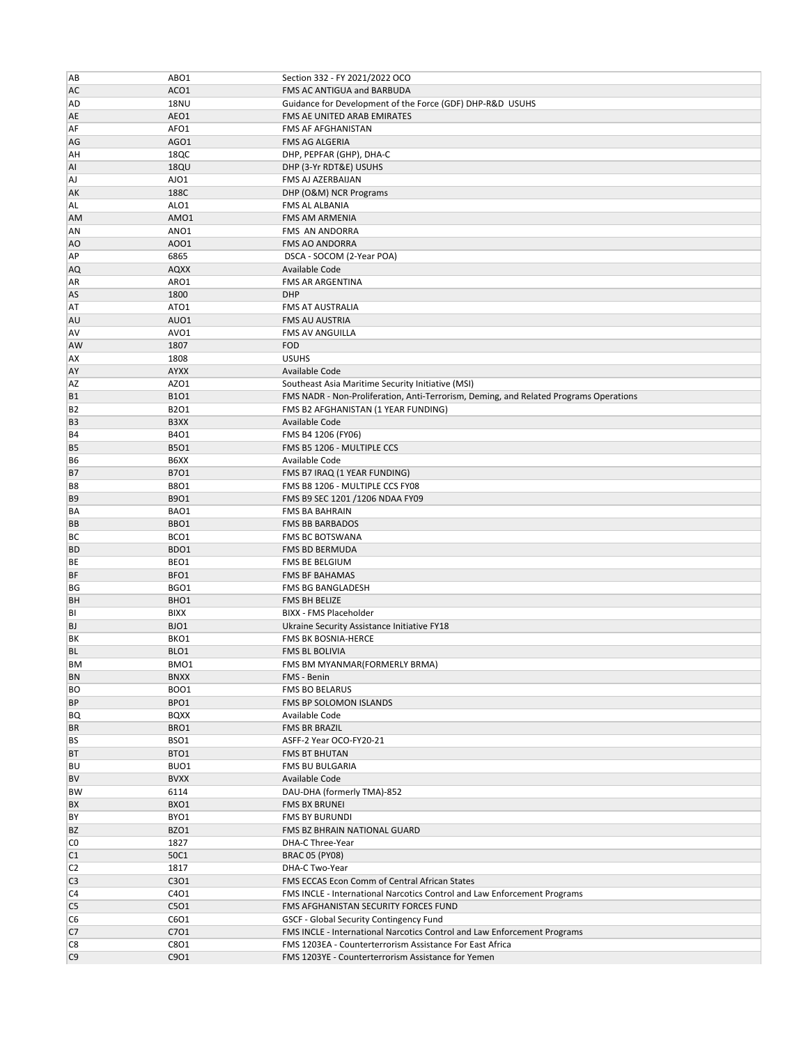| AB                   | ABO1         | Section 332 - FY 2021/2022 OCO                                                                                 |
|----------------------|--------------|----------------------------------------------------------------------------------------------------------------|
| AC                   | ACO1         | FMS AC ANTIGUA and BARBUDA                                                                                     |
|                      |              |                                                                                                                |
| AD                   | <b>18NU</b>  | Guidance for Development of the Force (GDF) DHP-R&D USUHS                                                      |
| AE                   | AEO1         | FMS AE UNITED ARAB EMIRATES                                                                                    |
| AF                   | AFO1         | FMS AF AFGHANISTAN                                                                                             |
| AG                   | AGO1         | FMS AG ALGERIA                                                                                                 |
| AH                   | 18QC         | DHP, PEPFAR (GHP), DHA-C                                                                                       |
| AI                   | <b>18QU</b>  | DHP (3-Yr RDT&E) USUHS                                                                                         |
| <b>AJ</b>            | AJO1         | FMS AJ AZERBAIJAN                                                                                              |
| AK                   | 188C         | DHP (O&M) NCR Programs                                                                                         |
| AL                   | ALO1         | FMS AL ALBANIA                                                                                                 |
| <b>AM</b>            | AMO1         | <b>FMS AM ARMENIA</b>                                                                                          |
| AN                   | ANO1         | FMS AN ANDORRA                                                                                                 |
|                      |              |                                                                                                                |
| AO                   | A001         | <b>FMS AO ANDORRA</b>                                                                                          |
| AP                   | 6865         | DSCA - SOCOM (2-Year POA)                                                                                      |
| AQ                   | <b>AQXX</b>  | Available Code                                                                                                 |
| AR                   | ARO1         | <b>FMS AR ARGENTINA</b>                                                                                        |
| AS                   | 1800         | <b>DHP</b>                                                                                                     |
| AT                   | ATO1         | FMS AT AUSTRALIA                                                                                               |
| AU                   | AUO1         | <b>FMS AU AUSTRIA</b>                                                                                          |
| <b>AV</b>            | AVO1         | <b>FMS AV ANGUILLA</b>                                                                                         |
| AW                   | 1807         | <b>FOD</b>                                                                                                     |
| AX                   | 1808         | <b>USUHS</b>                                                                                                   |
|                      |              |                                                                                                                |
| AY                   | <b>AYXX</b>  | Available Code                                                                                                 |
| AZ                   | AZO1         | Southeast Asia Maritime Security Initiative (MSI)                                                              |
| <b>B1</b>            | <b>B101</b>  | FMS NADR - Non-Proliferation, Anti-Terrorism, Deming, and Related Programs Operations                          |
| B <sub>2</sub>       | <b>B2O1</b>  | FMS B2 AFGHANISTAN (1 YEAR FUNDING)                                                                            |
| B <sub>3</sub>       | B3XX         | Available Code                                                                                                 |
| <b>B4</b>            | <b>B401</b>  | FMS B4 1206 (FY06)                                                                                             |
| B <sub>5</sub>       | <b>B501</b>  | FMS B5 1206 - MULTIPLE CCS                                                                                     |
| B <sub>6</sub>       | B6XX         | Available Code                                                                                                 |
| <b>B7</b>            | <b>B701</b>  | FMS B7 IRAQ (1 YEAR FUNDING)                                                                                   |
|                      |              |                                                                                                                |
| B <sub>8</sub>       | <b>B8O1</b>  | FMS B8 1206 - MULTIPLE CCS FY08                                                                                |
| B <sub>9</sub>       | B9O1         | FMS B9 SEC 1201 /1206 NDAA FY09                                                                                |
| BA                   | BAO1         | <b>FMS BA BAHRAIN</b>                                                                                          |
| BB                   | BBO1         | <b>FMS BB BARBADOS</b>                                                                                         |
| BC                   | BCO1         | <b>FMS BC BOTSWANA</b>                                                                                         |
| <b>BD</b>            | BDO1         | FMS BD BERMUDA                                                                                                 |
| BE                   | BEO1         | FMS BE BELGIUM                                                                                                 |
| <b>BF</b>            | BFO1         | <b>FMS BF BAHAMAS</b>                                                                                          |
| BG                   | BGO1         | <b>FMS BG BANGLADESH</b>                                                                                       |
| <b>BH</b>            | BHO1         | FMS BH BELIZE                                                                                                  |
| BI                   | <b>BIXX</b>  | <b>BIXX - FMS Placeholder</b>                                                                                  |
| <b>BJ</b>            | BJO1         | Ukraine Security Assistance Initiative FY18                                                                    |
|                      |              |                                                                                                                |
| ΒK                   | BKO1         | FMS BK BOSNIA-HERCE                                                                                            |
| <b>BL</b>            | BLO1         | <b>FMS BL BOLIVIA</b>                                                                                          |
| <b>BM</b>            | BMO1         | FMS BM MYANMAR(FORMERLY BRMA)                                                                                  |
| <b>BN</b>            | <b>BNXX</b>  | FMS - Benin                                                                                                    |
| BO                   | <b>BOO1</b>  | FMS BO BELARUS                                                                                                 |
| <b>BP</b>            | BPO1         | FMS BP SOLOMON ISLANDS                                                                                         |
| BQ                   | <b>BQXX</b>  | Available Code                                                                                                 |
| <b>BR</b>            | BRO1         | FMS BR BRAZIL                                                                                                  |
| <b>BS</b>            | BSO1         | ASFF-2 Year OCO-FY20-21                                                                                        |
| <b>BT</b>            | BTO1         | <b>FMS BT BHUTAN</b>                                                                                           |
| <b>BU</b>            | BUO1         | FMS BU BULGARIA                                                                                                |
|                      |              |                                                                                                                |
| <b>BV</b>            | <b>BVXX</b>  | Available Code                                                                                                 |
| <b>BW</b>            | 6114         | DAU-DHA (formerly TMA)-852                                                                                     |
| BX                   | BXO1         | <b>FMS BX BRUNEI</b>                                                                                           |
| BY                   | BYO1         | <b>FMS BY BURUNDI</b>                                                                                          |
| <b>BZ</b>            | BZO1         | FMS BZ BHRAIN NATIONAL GUARD                                                                                   |
| C <sub>0</sub>       | 1827         | DHA-C Three-Year                                                                                               |
| C1                   | 50C1         | <b>BRAC 05 (PY08)</b>                                                                                          |
| C <sub>2</sub>       | 1817         | DHA-C Two-Year                                                                                                 |
| C <sub>3</sub>       | C301         | FMS ECCAS Econ Comm of Central African States                                                                  |
| C <sub>4</sub>       | C401         | FMS INCLE - International Narcotics Control and Law Enforcement Programs                                       |
|                      |              |                                                                                                                |
| C <sub>5</sub>       | C5O1         | FMS AFGHANISTAN SECURITY FORCES FUND                                                                           |
|                      |              |                                                                                                                |
| C <sub>6</sub>       | C6O1         | GSCF - Global Security Contingency Fund                                                                        |
| C7                   | C701         | FMS INCLE - International Narcotics Control and Law Enforcement Programs                                       |
| C8<br>C <sub>9</sub> | C8O1<br>C901 | FMS 1203EA - Counterterrorism Assistance For East Africa<br>FMS 1203YE - Counterterrorism Assistance for Yemen |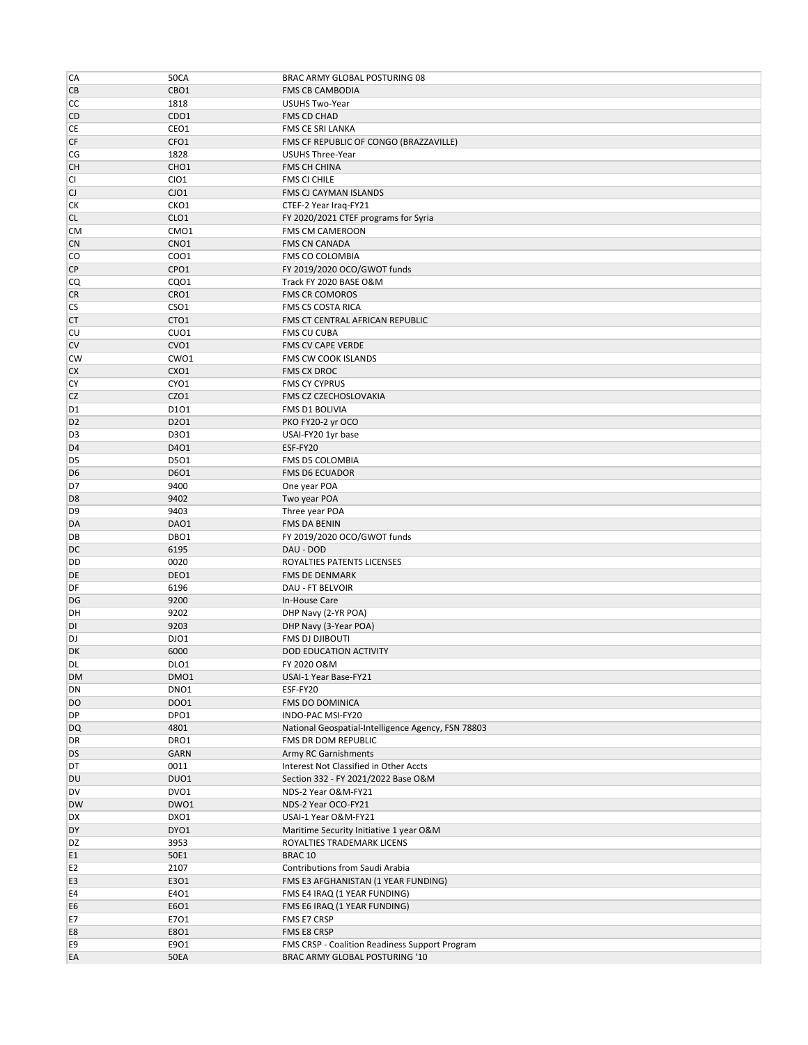| CA             | <b>50CA</b>      | BRAC ARMY GLOBAL POSTURING 08                      |
|----------------|------------------|----------------------------------------------------|
| CB             | CBO1             | <b>FMS CB CAMBODIA</b>                             |
| СC             | 1818             | USUHS Two-Year                                     |
| CD             | CDO1             | FMS CD CHAD                                        |
| CE             | CEO1             | FMS CE SRI LANKA                                   |
| CF             | CFO1             | FMS CF REPUBLIC OF CONGO (BRAZZAVILLE)             |
| CG             | 1828             | USUHS Three-Year                                   |
| <b>CH</b>      | CHO <sub>1</sub> | FMS CH CHINA                                       |
| CI             | CIO1             | <b>FMS CI CHILE</b>                                |
| CJ             | CJO1             | FMS CJ CAYMAN ISLANDS                              |
| СK             | CKO1             | CTEF-2 Year Iraq-FY21                              |
| <b>CL</b>      | CLO <sub>1</sub> | FY 2020/2021 CTEF programs for Syria               |
| <b>CM</b>      | CMO1             | FMS CM CAMEROON                                    |
| <b>CN</b>      | CNO <sub>1</sub> | <b>FMS CN CANADA</b>                               |
| CO             | CO01             | FMS CO COLOMBIA                                    |
| <b>CP</b>      | CPO1             | FY 2019/2020 OCO/GWOT funds                        |
| CQ             | CQ01             | Track FY 2020 BASE O&M                             |
| <b>CR</b>      | CRO1             | <b>FMS CR COMOROS</b>                              |
| CS             | CSO <sub>1</sub> | FMS CS COSTA RICA                                  |
| <b>CT</b>      | CTO1             | FMS CT CENTRAL AFRICAN REPUBLIC                    |
| CU             | CUO1             | FMS CU CUBA                                        |
| CV             | CVO1             | FMS CV CAPE VERDE                                  |
| <b>CW</b>      | CWO1             |                                                    |
|                |                  | FMS CW COOK ISLANDS                                |
| CX             | CXO1             | <b>FMS CX DROC</b>                                 |
| CY             | CYO1             | <b>FMS CY CYPRUS</b>                               |
| CZ             | CZO1             | FMS CZ CZECHOSLOVAKIA                              |
| D <sub>1</sub> | D101             | FMS D1 BOLIVIA                                     |
| D <sub>2</sub> | D201             | PKO FY20-2 yr OCO                                  |
| D <sub>3</sub> | D301             | USAI-FY20 1yr base                                 |
| D <sub>4</sub> | D401             | ESF-FY20                                           |
| D <sub>5</sub> | D501             | FMS D5 COLOMBIA                                    |
| D <sub>6</sub> | D6O1             | <b>FMS D6 ECUADOR</b>                              |
| D7             | 9400             | One year POA                                       |
| D <sub>8</sub> | 9402             | Two year POA                                       |
| D <sub>9</sub> | 9403             | Three year POA                                     |
| DA             | DAO1             | FMS DA BENIN                                       |
| DB             | DBO1             | FY 2019/2020 OCO/GWOT funds                        |
| DC             | 6195             | DAU - DOD                                          |
| DD             | 0020             | ROYALTIES PATENTS LICENSES                         |
| DE             | DEO1             | <b>FMS DE DENMARK</b>                              |
| DF             | 6196             | <b>DAU - FT BELVOIR</b>                            |
| DG             | 9200             | In-House Care                                      |
| DH             | 9202             | DHP Navy (2-YR POA)                                |
| DI             | 9203             | DHP Navy (3-Year POA)                              |
| DJ             | DJO1             | FMS DJ DJIBOUTI                                    |
| DK             | 6000             | <b>DOD EDUCATION ACTIVITY</b>                      |
| DL             | DLO1             | FY 2020 O&M                                        |
| DM             | DMO1             | USAI-1 Year Base-FY21                              |
| DN             | DNO1             | ESF-FY20                                           |
| DO             | DO01             | FMS DO DOMINICA                                    |
| DP             | DPO1             | INDO-PAC MSI-FY20                                  |
| DQ             | 4801             | National Geospatial-Intelligence Agency, FSN 78803 |
| DR             | DRO1             | FMS DR DOM REPUBLIC                                |
| DS             | GARN             | Army RC Garnishments                               |
| DT             | 0011             | Interest Not Classified in Other Accts             |
| DU             | DUO1             | Section 332 - FY 2021/2022 Base O&M                |
| DV             | DVO1             | NDS-2 Year O&M-FY21                                |
| <b>DW</b>      | DWO1             | NDS-2 Year OCO-FY21                                |
|                | DXO1             |                                                    |
| DX<br>DY       |                  | USAI-1 Year O&M-FY21                               |
|                | DYO1             | Maritime Security Initiative 1 year O&M            |
| DZ             | 3953             | ROYALTIES TRADEMARK LICENS                         |
| E1             | 50E1             | BRAC 10                                            |
| E <sub>2</sub> | 2107             | Contributions from Saudi Arabia                    |
| E3             | E301             | FMS E3 AFGHANISTAN (1 YEAR FUNDING)                |
| E4             | E401             | FMS E4 IRAQ (1 YEAR FUNDING)                       |
| E6             | E6O1             | FMS E6 IRAQ (1 YEAR FUNDING)                       |
| E7             | E701             | FMS E7 CRSP                                        |
| E8             | E801             | FMS E8 CRSP                                        |
|                |                  |                                                    |
| E9             | E901             | FMS CRSP - Coalition Readiness Support Program     |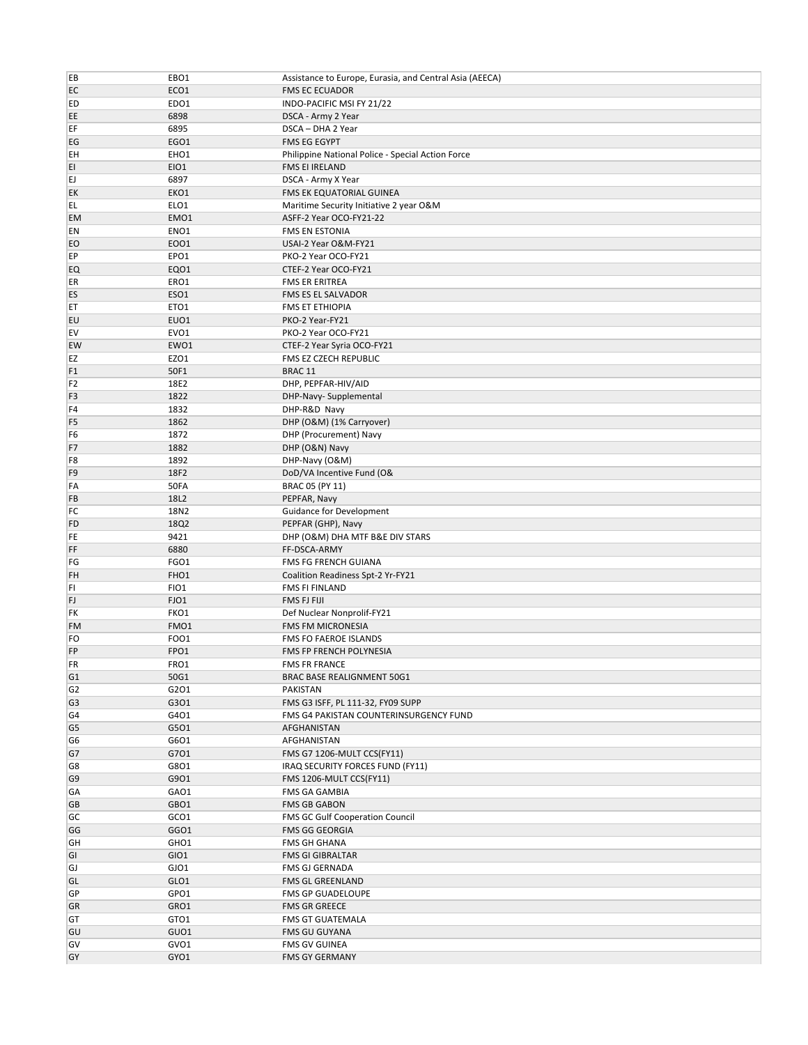| EB                   | EBO1             | Assistance to Europe, Eurasia, and Central Asia (AEECA) |
|----------------------|------------------|---------------------------------------------------------|
| EC                   | ECO1             | <b>FMS EC ECUADOR</b>                                   |
| ED                   | EDO1             | INDO-PACIFIC MSI FY 21/22                               |
| EE                   | 6898             | DSCA - Army 2 Year                                      |
| EF                   | 6895             | DSCA - DHA 2 Year                                       |
| EG                   | EGO1             | <b>FMS EG EGYPT</b>                                     |
| EH                   | EHO1             | Philippine National Police - Special Action Force       |
| EI                   | EIO1             | FMS EI IRELAND                                          |
| EJ                   | 6897             | DSCA - Army X Year                                      |
| EK                   | EKO1             | FMS EK EQUATORIAL GUINEA                                |
| EL.                  | ELO1             | Maritime Security Initiative 2 year O&M                 |
| <b>EM</b>            | EMO1             | ASFF-2 Year OCO-FY21-22                                 |
| EN                   | ENO <sub>1</sub> | <b>FMS EN ESTONIA</b>                                   |
| EO                   | EO01             | USAI-2 Year O&M-FY21                                    |
| EP                   | EPO1             | PKO-2 Year OCO-FY21                                     |
| EQ                   | EQ01             | CTEF-2 Year OCO-FY21                                    |
| ER                   | ERO1             | <b>FMS ER ERITREA</b>                                   |
| ES                   | ESO1             | FMS ES EL SALVADOR                                      |
| ET                   | ETO1             | <b>FMS ET ETHIOPIA</b>                                  |
| EU                   | EUO1             | PKO-2 Year-FY21                                         |
| EV                   | EVO1             | PKO-2 Year OCO-FY21                                     |
| EW                   | EWO1             | CTEF-2 Year Syria OCO-FY21                              |
| EZ                   | EZO1             | FMS EZ CZECH REPUBLIC                                   |
| F <sub>1</sub>       | 50F1             | BRAC <sub>11</sub>                                      |
| F <sub>2</sub>       | 18E2             | DHP, PEPFAR-HIV/AID                                     |
| F <sub>3</sub>       | 1822             | DHP-Navy- Supplemental                                  |
| F4                   | 1832             | DHP-R&D Navy                                            |
| F <sub>5</sub>       | 1862             | DHP (O&M) (1% Carryover)                                |
| F <sub>6</sub>       | 1872             | DHP (Procurement) Navy                                  |
| F7                   | 1882             | DHP (O&N) Navy                                          |
|                      | 1892             | DHP-Navy (O&M)                                          |
| F8<br>F <sub>9</sub> | 18F2             |                                                         |
| FA                   | 50FA             | DoD/VA Incentive Fund (O&<br>BRAC 05 (PY 11)            |
| FB                   | 18L2             | PEPFAR, Navy                                            |
| FC                   | 18N2             |                                                         |
|                      |                  | Guidance for Development                                |
| FD                   | 18Q2             | PEPFAR (GHP), Navy                                      |
| FE                   | 9421             | DHP (O&M) DHA MTF B&E DIV STARS                         |
| FF                   | 6880             | FF-DSCA-ARMY                                            |
| FG                   | FGO1             | FMS FG FRENCH GUIANA                                    |
| FH                   | FHO1             | Coalition Readiness Spt-2 Yr-FY21                       |
| FI<br>FJ             | FIO1<br>FJO1     | FMS FI FINLAND<br>FMS FJ FIJI                           |
|                      |                  |                                                         |
| FK                   | FKO1             | Def Nuclear Nonprolif-FY21                              |
| <b>FM</b>            | FMO1             | <b>FMS FM MICRONESIA</b>                                |
| FO                   | FOO1             | FMS FO FAEROE ISLANDS                                   |
| FP                   | FPO1             | FMS FP FRENCH POLYNESIA                                 |
| FR                   | FRO1             | <b>FMS FR FRANCE</b>                                    |
| G <sub>1</sub>       | 50G1             | BRAC BASE REALIGNMENT 50G1                              |
| G <sub>2</sub>       | G2O1             | PAKISTAN                                                |
| G <sub>3</sub>       | G301             | FMS G3 ISFF, PL 111-32, FY09 SUPP                       |
| G4                   | G401             | FMS G4 PAKISTAN COUNTERINSURGENCY FUND                  |
| G5                   | G501             | AFGHANISTAN                                             |
| G6                   | G6O1             | AFGHANISTAN                                             |
| G7                   | G701             | FMS G7 1206-MULT CCS(FY11)                              |
| G8                   | G8O1             | IRAQ SECURITY FORCES FUND (FY11)                        |
| G <sub>9</sub>       | G901             | FMS 1206-MULT CCS(FY11)                                 |
| GA                   | GAO1             | FMS GA GAMBIA                                           |
| GB                   | GBO1             | <b>FMS GB GABON</b>                                     |
| GC                   | GCO1             | FMS GC Gulf Cooperation Council                         |
| GG                   | GGO1             | <b>FMS GG GEORGIA</b>                                   |
| GH                   | GHO1             | FMS GH GHANA                                            |
| GI                   | GIO1             | <b>FMS GI GIBRALTAR</b>                                 |
| GJ                   | GJO1             | FMS GJ GERNADA                                          |
| GL                   | GLO1             | FMS GL GREENLAND                                        |
| GP                   | GPO1             | FMS GP GUADELOUPE                                       |
| GR                   | GRO1             | <b>FMS GR GREECE</b>                                    |
| GT                   | GTO1             | <b>FMS GT GUATEMALA</b>                                 |
| GU                   | GUO1             | <b>FMS GU GUYANA</b>                                    |
| GV                   | GVO1             | <b>FMS GV GUINEA</b>                                    |
| GY                   | GYO1             | <b>FMS GY GERMANY</b>                                   |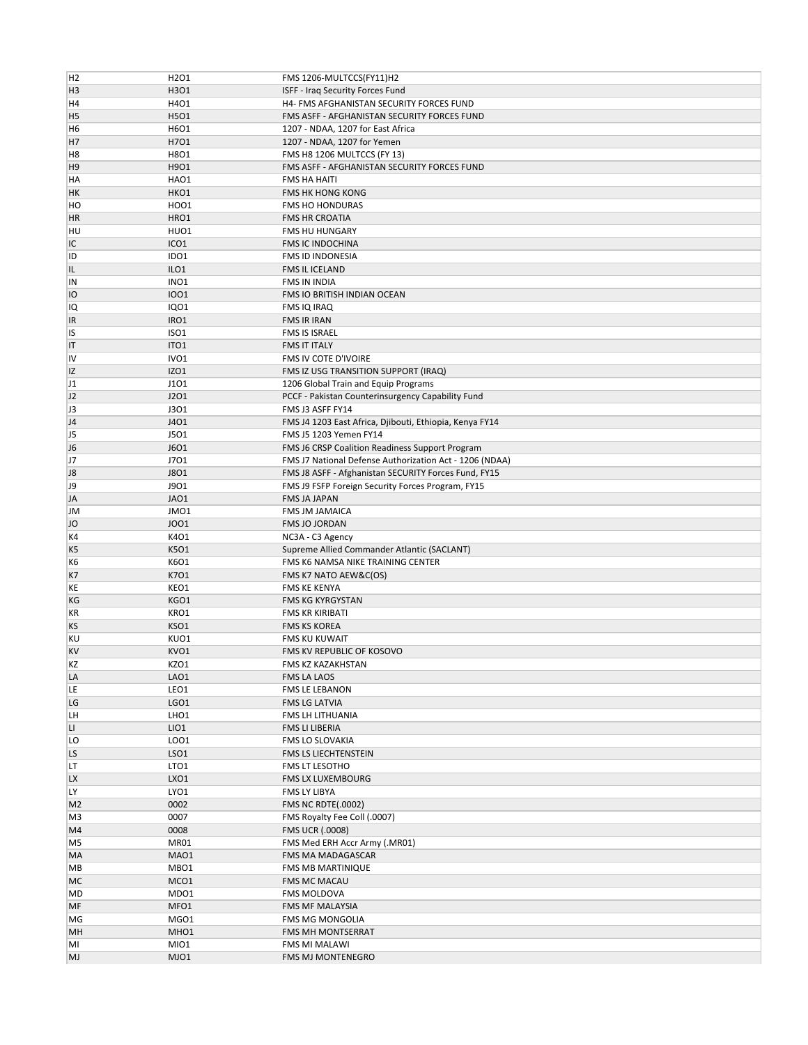| H <sub>2</sub> | H <sub>2</sub> O <sub>1</sub> | FMS 1206-MULTCCS(FY11)H2                                |
|----------------|-------------------------------|---------------------------------------------------------|
| H <sub>3</sub> | H3O1                          | ISFF - Iraq Security Forces Fund                        |
|                |                               |                                                         |
| H <sub>4</sub> | H4O1                          | H4- FMS AFGHANISTAN SECURITY FORCES FUND                |
| H <sub>5</sub> | H5O1                          | FMS ASFF - AFGHANISTAN SECURITY FORCES FUND             |
| H6             | H6O1                          | 1207 - NDAA, 1207 for East Africa                       |
| H <sub>7</sub> | H701                          | 1207 - NDAA, 1207 for Yemen                             |
| H <sub>8</sub> | H8O1                          | FMS H8 1206 MULTCCS (FY 13)                             |
| H <sub>9</sub> | H9O1                          | FMS ASFF - AFGHANISTAN SECURITY FORCES FUND             |
| HA             | HAO1                          | FMS HA HAITI                                            |
| HK             | HKO1                          | FMS HK HONG KONG                                        |
| HO             | HO01                          | <b>FMS HO HONDURAS</b>                                  |
| <b>HR</b>      | HRO1                          | <b>FMS HR CROATIA</b>                                   |
| HU             | HUO1                          | <b>FMS HU HUNGARY</b>                                   |
|                |                               |                                                         |
| IC             | ICO <sub>1</sub>              | <b>FMS IC INDOCHINA</b>                                 |
| ID             | IDO1                          | FMS ID INDONESIA                                        |
| IL             | ILO1                          | FMS IL ICELAND                                          |
| IN             | INO <sub>1</sub>              | FMS IN INDIA                                            |
| IO             | 1001                          | FMS IO BRITISH INDIAN OCEAN                             |
| IQ             | <b>IQ01</b>                   | FMS IQ IRAQ                                             |
| <sup>IR</sup>  | IRO1                          | FMS IR IRAN                                             |
| <b>IS</b>      | ISO <sub>1</sub>              | FMS IS ISRAEL                                           |
| IT             | ITO <sub>1</sub>              | <b>FMS IT ITALY</b>                                     |
|                |                               |                                                         |
| IV             | IVO <sub>1</sub>              | FMS IV COTE D'IVOIRE                                    |
| IZ             | IZO1                          | FMS IZ USG TRANSITION SUPPORT (IRAQ)                    |
| J1             | J101                          | 1206 Global Train and Equip Programs                    |
| J2             | J201                          | PCCF - Pakistan Counterinsurgency Capability Fund       |
| J3             | <b>J301</b>                   | FMS J3 ASFF FY14                                        |
| J <sub>4</sub> | J401                          | FMS J4 1203 East Africa, Djibouti, Ethiopia, Kenya FY14 |
| J <sub>5</sub> | J501                          | FMS J5 1203 Yemen FY14                                  |
| J <sub>6</sub> | <b>J6O1</b>                   | FMS J6 CRSP Coalition Readiness Support Program         |
| J7             | J701                          | FMS J7 National Defense Authorization Act - 1206 (NDAA) |
| J8             | <b>J8O1</b>                   | FMS J8 ASFF - Afghanistan SECURITY Forces Fund, FY15    |
|                |                               |                                                         |
| J9             | J901                          | FMS J9 FSFP Foreign Security Forces Program, FY15       |
| JA             | JAO1                          | FMS JA JAPAN                                            |
| JM             | JMO1                          | <b>FMS JM JAMAICA</b>                                   |
|                |                               |                                                         |
| JO             | <b>JOO1</b>                   | FMS JO JORDAN                                           |
| K4             | K401                          | NC3A - C3 Agency                                        |
| K <sub>5</sub> | K501                          | Supreme Allied Commander Atlantic (SACLANT)             |
| K6             | K6O1                          | FMS K6 NAMSA NIKE TRAINING CENTER                       |
|                |                               |                                                         |
| K7             | K701                          | FMS K7 NATO AEW&C(OS)                                   |
| KE             | KEO1                          | <b>FMS KE KENYA</b>                                     |
| КG             | KGO1                          | FMS KG KYRGYSTAN                                        |
| KR             | KRO1                          | FMS KR KIRIBATI                                         |
| KS             | KSO1                          | <b>FMS KS KOREA</b>                                     |
| KU             | KUO1                          | FMS KU KUWAIT                                           |
| <b>KV</b>      | KVO1                          | FMS KV REPUBLIC OF KOSOVO                               |
| KZ             | KZO1                          | FMS KZ KAZAKHSTAN                                       |
| LA             | LAO1                          | FMS LA LAOS                                             |
| LE             | LEO1                          | FMS LE LEBANON                                          |
| LG             | LGO1                          | FMS LG LATVIA                                           |
| LH             | LHO1                          | FMS LH LITHUANIA                                        |
| П              | LIO1                          | FMS LI LIBERIA                                          |
|                |                               |                                                         |
| LO             | LO01                          | FMS LO SLOVAKIA                                         |
| LS.            | LSO <sub>1</sub>              | FMS LS LIECHTENSTEIN                                    |
| LT             | LTO <sub>1</sub>              | FMS LT LESOTHO                                          |
| <b>LX</b>      | LXO1                          | <b>FMS LX LUXEMBOURG</b>                                |
| LY             | LYO1                          | FMS LY LIBYA                                            |
| M <sub>2</sub> | 0002                          | <b>FMS NC RDTE(.0002)</b>                               |
| M <sub>3</sub> | 0007                          | FMS Royalty Fee Coll (.0007)                            |
| M4             | 0008                          | <b>FMS UCR (.0008)</b>                                  |
| M5             | MR01                          | FMS Med ERH Accr Army (.MR01)                           |
| MA             | MAO1                          | FMS MA MADAGASCAR                                       |
| MВ             | MBO1                          | FMS MB MARTINIQUE                                       |
|                |                               |                                                         |
| МC             | MCO1                          | FMS MC MACAU                                            |
| MD             | MDO1                          | FMS MOLDOVA                                             |
| MF             | MFO1                          | FMS MF MALAYSIA                                         |
| MG             | MGO1                          | FMS MG MONGOLIA                                         |
| MH             | MHO1                          | FMS MH MONTSERRAT                                       |
| MI<br>MJ       | MIO1<br>MJO1                  | FMS MI MALAWI<br>FMS MJ MONTENEGRO                      |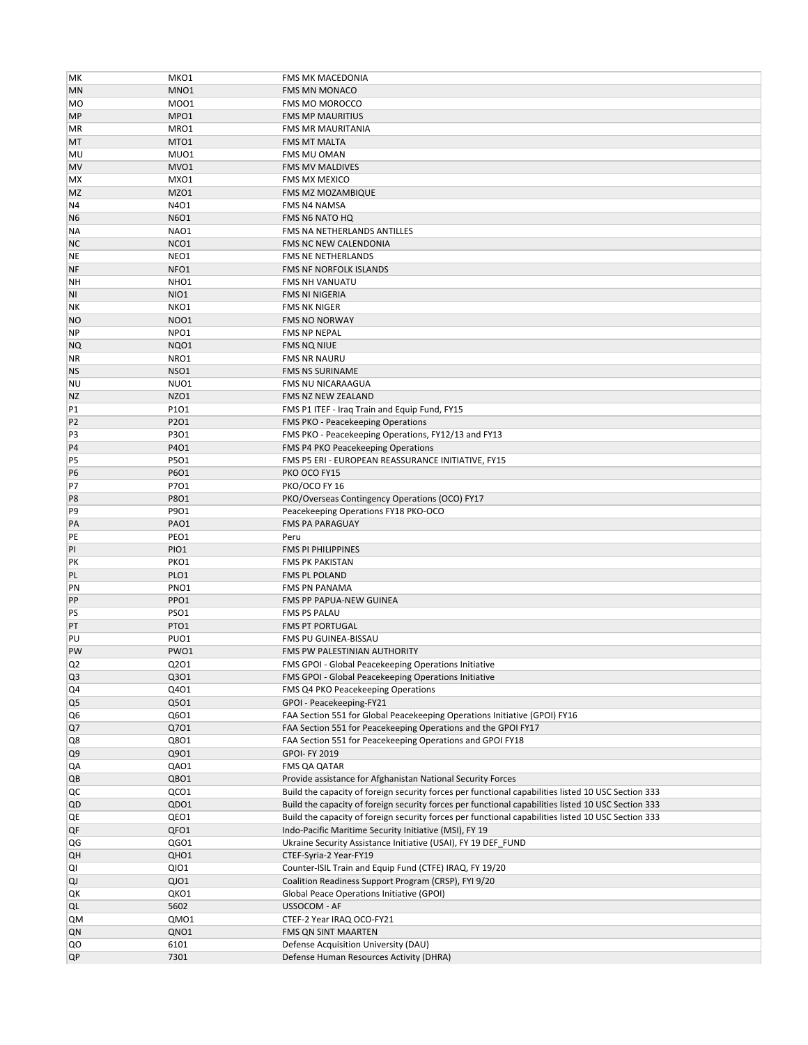| MК             | MKO1             | FMS MK MACEDONIA                                                                                    |
|----------------|------------------|-----------------------------------------------------------------------------------------------------|
| MN             | MNO1             | <b>FMS MN MONACO</b>                                                                                |
| <b>MO</b>      | M001             | FMS MO MOROCCO                                                                                      |
| <b>MP</b>      | MPO1             | <b>FMS MP MAURITIUS</b>                                                                             |
| ΜR             | MRO1             | <b>FMS MR MAURITANIA</b>                                                                            |
| МT             | MTO1             | <b>FMS MT MALTA</b>                                                                                 |
|                | MU01             | FMS MU OMAN                                                                                         |
| MU             |                  |                                                                                                     |
| <b>MV</b>      | MVO1             | FMS MV MALDIVES                                                                                     |
| МX             | MXO1             | <b>FMS MX MEXICO</b>                                                                                |
| <b>MZ</b>      | MZO1             | FMS MZ MOZAMBIQUE                                                                                   |
| N4             | N4O1             | FMS N4 NAMSA                                                                                        |
| N <sub>6</sub> | N6O1             | <b>FMS N6 NATO HQ</b>                                                                               |
| ΝA             | NAO1             | FMS NA NETHERLANDS ANTILLES                                                                         |
| <b>NC</b>      | NCO1             | FMS NC NEW CALENDONIA                                                                               |
| NE             | NEO1             | <b>FMS NE NETHERLANDS</b>                                                                           |
| NF             | NFO1             | FMS NF NORFOLK ISLANDS                                                                              |
| NΗ             | NHO <sub>1</sub> | <b>FMS NH VANUATU</b>                                                                               |
| ΝI             | NIO1             | FMS NI NIGERIA                                                                                      |
| NΚ             | NKO1             | <b>FMS NK NIGER</b>                                                                                 |
| NO             | <b>NOO1</b>      | <b>FMS NO NORWAY</b>                                                                                |
| <b>NP</b>      | NPO1             | FMS NP NEPAL                                                                                        |
| NQ             | NQ01             | <b>FMS NQ NIUE</b>                                                                                  |
| ΝR             | NRO1             | <b>FMS NR NAURU</b>                                                                                 |
| <b>NS</b>      | NSO1             | FMS NS SURINAME                                                                                     |
|                | NUO1             | FMS NU NICARAAGUA                                                                                   |
| ΝU             |                  |                                                                                                     |
| NZ             | NZO1             | FMS NZ NEW ZEALAND                                                                                  |
| P1             | P101             | FMS P1 ITEF - Iraq Train and Equip Fund, FY15                                                       |
| P <sub>2</sub> | P201             | FMS PKO - Peacekeeping Operations                                                                   |
| P3             | P3O1             | FMS PKO - Peacekeeping Operations, FY12/13 and FY13                                                 |
| <b>P4</b>      | P401             | FMS P4 PKO Peacekeeping Operations                                                                  |
| P5             | P501             | FMS P5 ERI - EUROPEAN REASSURANCE INITIATIVE, FY15                                                  |
| P <sub>6</sub> | P6O1             | PKO OCO FY15                                                                                        |
| P7             | P701             | PKO/OCO FY 16                                                                                       |
| P <sub>8</sub> | P8O1             | PKO/Overseas Contingency Operations (OCO) FY17                                                      |
| P9             | P901             | Peacekeeping Operations FY18 PKO-OCO                                                                |
| PA             | PAO1             | <b>FMS PA PARAGUAY</b>                                                                              |
| PE             | PEO1             | Peru                                                                                                |
| PI             | PIO1             | <b>FMS PI PHILIPPINES</b>                                                                           |
| PK             | PKO1             | <b>FMS PK PAKISTAN</b>                                                                              |
| PL             | PLO1             | FMS PL POLAND                                                                                       |
| PN             | PNO1             | <b>FMS PN PANAMA</b>                                                                                |
| PP             | PPO1             | FMS PP PAPUA-NEW GUINEA                                                                             |
| PS             | PSO1             | <b>FMS PS PALAU</b>                                                                                 |
| PT             | PTO1             | <b>FMS PT PORTUGAL</b>                                                                              |
| PU             | PUO1             | FMS PU GUINEA-BISSAU                                                                                |
| PW             | PWO1             | FMS PW PALESTINIAN AUTHORITY                                                                        |
| Q2             | Q2O1             | FMS GPOI - Global Peacekeeping Operations Initiative                                                |
| Q <sub>3</sub> | Q301             | FMS GPOI - Global Peacekeeping Operations Initiative                                                |
| Q4             | Q401             | FMS Q4 PKO Peacekeeping Operations                                                                  |
| Q5             | Q501             | GPOI - Peacekeeping-FY21                                                                            |
| Q6             | Q6O1             | FAA Section 551 for Global Peacekeeping Operations Initiative (GPOI) FY16                           |
| Q7             | Q701             | FAA Section 551 for Peacekeeping Operations and the GPOI FY17                                       |
|                | Q801             | FAA Section 551 for Peacekeeping Operations and GPOI FY18                                           |
| Q8             |                  |                                                                                                     |
| Q9             | Q901             | GPOI- FY 2019                                                                                       |
| QA             | QAO1             | FMS QA QATAR                                                                                        |
| QB             | QBO1             | Provide assistance for Afghanistan National Security Forces                                         |
| QC             | QCO1             | Build the capacity of foreign security forces per functional capabilities listed 10 USC Section 333 |
| QD             | QDO1             | Build the capacity of foreign security forces per functional capabilities listed 10 USC Section 333 |
| QE             | QEO1             | Build the capacity of foreign security forces per functional capabilities listed 10 USC Section 333 |
| QF             | QFO1             | Indo-Pacific Maritime Security Initiative (MSI), FY 19                                              |
| QG             | QGO1             | Ukraine Security Assistance Initiative (USAI), FY 19 DEF_FUND                                       |
| QН             | QHO1             | CTEF-Syria-2 Year-FY19                                                                              |
| QI             | QI01             | Counter-ISIL Train and Equip Fund (CTFE) IRAQ, FY 19/20                                             |
| QJ             | QJO1             | Coalition Readiness Support Program (CRSP), FYI 9/20                                                |
| QK             | QKO1             | <b>Global Peace Operations Initiative (GPOI)</b>                                                    |
| QL             | 5602             | USSOCOM - AF                                                                                        |
| QΜ             | QM01             | CTEF-2 Year IRAQ OCO-FY21                                                                           |
| QN             | QNO1             | FMS QN SINT MAARTEN                                                                                 |
| QO             | 6101             | Defense Acquisition University (DAU)                                                                |
| QP             | 7301             | Defense Human Resources Activity (DHRA)                                                             |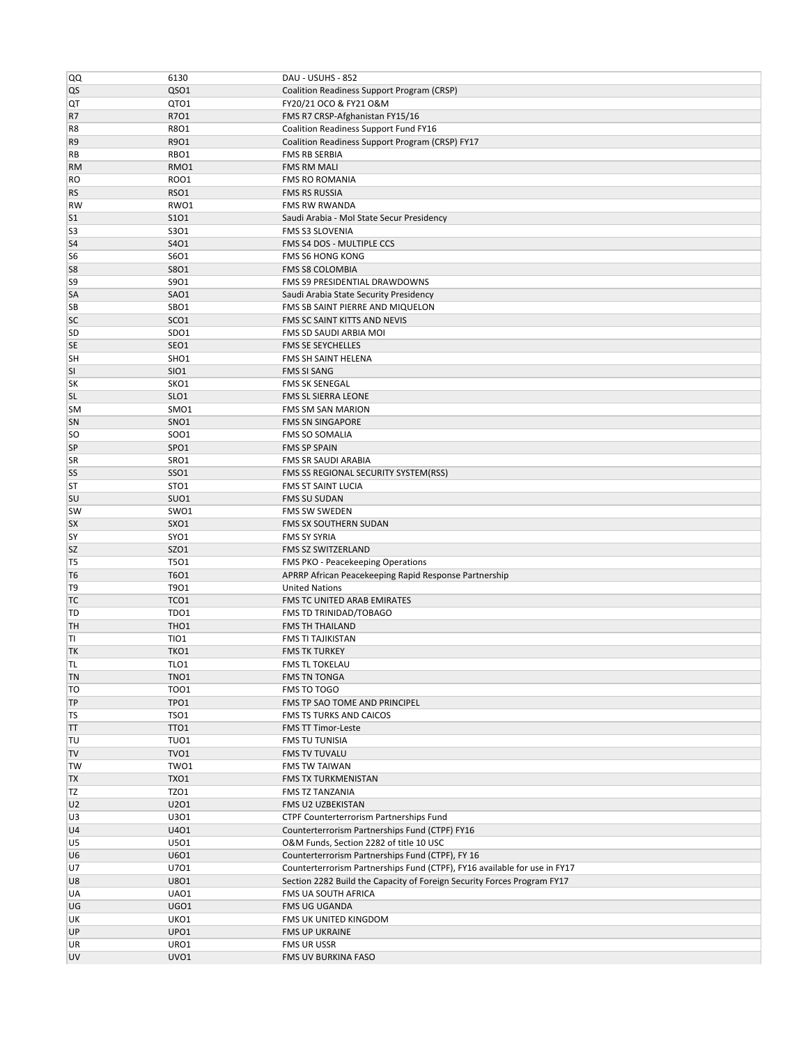| QQ              | 6130             | DAU - USUHS - 852                                                         |
|-----------------|------------------|---------------------------------------------------------------------------|
| QS              | QSO1             | Coalition Readiness Support Program (CRSP)                                |
| QT              | QTO1             | FY20/21 OCO & FY21 O&M                                                    |
| R7              | R701             | FMS R7 CRSP-Afghanistan FY15/16                                           |
| R <sub>8</sub>  | R8O1             | Coalition Readiness Support Fund FY16                                     |
| R9              | R901             | Coalition Readiness Support Program (CRSP) FY17                           |
| RB              | RBO1             | <b>FMS RB SERBIA</b>                                                      |
| <b>RM</b>       | RMO1             | <b>FMS RM MALI</b>                                                        |
|                 |                  | <b>FMS RO ROMANIA</b>                                                     |
| <b>RO</b>       | <b>ROO1</b>      |                                                                           |
| <b>RS</b>       | RSO1             | FMS RS RUSSIA                                                             |
| <b>RW</b>       | RWO1             | FMS RW RWANDA                                                             |
| S <sub>1</sub>  | S101             | Saudi Arabia - Mol State Secur Presidency                                 |
| S <sub>3</sub>  | S301             | FMS S3 SLOVENIA                                                           |
| S <sub>4</sub>  | S401             | FMS S4 DOS - MULTIPLE CCS                                                 |
| S <sub>6</sub>  | S6O1             | FMS S6 HONG KONG                                                          |
| S <sub>8</sub>  | <b>S8O1</b>      | <b>FMS S8 COLOMBIA</b>                                                    |
| S9              | S9O1             | FMS S9 PRESIDENTIAL DRAWDOWNS                                             |
| SA              | SAO1             | Saudi Arabia State Security Presidency                                    |
| SB              | SBO1             | FMS SB SAINT PIERRE AND MIQUELON                                          |
| <b>SC</b>       | SCO <sub>1</sub> | FMS SC SAINT KITTS AND NEVIS                                              |
| <b>SD</b>       | SDO <sub>1</sub> | FMS SD SAUDI ARBIA MOI                                                    |
| <b>SE</b>       | SEO1             | FMS SE SEYCHELLES                                                         |
| <b>SH</b>       | SHO <sub>1</sub> | FMS SH SAINT HELENA                                                       |
| <b>SI</b>       | SIO1             | <b>FMS SI SANG</b>                                                        |
| <b>SK</b>       | SKO1             | FMS SK SENEGAL                                                            |
| <b>SL</b>       | SLO <sub>1</sub> | FMS SL SIERRA LEONE                                                       |
| <b>SM</b>       | SMO1             | <b>FMS SM SAN MARION</b>                                                  |
| SN              | SNO <sub>1</sub> | <b>FMS SN SINGAPORE</b>                                                   |
| <b>SO</b>       | SO01             | <b>FMS SO SOMALIA</b>                                                     |
| SP              | SPO1             | <b>FMS SP SPAIN</b>                                                       |
| <b>SR</b>       | SRO1             | FMS SR SAUDI ARABIA                                                       |
| SS              | <b>SSO1</b>      | FMS SS REGIONAL SECURITY SYSTEM(RSS)                                      |
| ST              | STO <sub>1</sub> | <b>FMS ST SAINT LUCIA</b>                                                 |
| <b>SU</b>       | SUO <sub>1</sub> | FMS SU SUDAN                                                              |
|                 |                  |                                                                           |
| <b>SW</b>       | SWO1             | <b>FMS SW SWEDEN</b>                                                      |
| <b>SX</b>       | SXO1             | FMS SX SOUTHERN SUDAN                                                     |
| SY              | SYO1             | <b>FMS SY SYRIA</b>                                                       |
| <b>SZ</b>       | SZO1             | FMS SZ SWITZERLAND                                                        |
| T <sub>5</sub>  | <b>T501</b>      | FMS PKO - Peacekeeping Operations                                         |
| T <sub>6</sub>  | T6O1             | APRRP African Peacekeeping Rapid Response Partnership                     |
| T <sub>9</sub>  | T901             | <b>United Nations</b>                                                     |
| TC              | TCO <sub>1</sub> | FMS TC UNITED ARAB EMIRATES                                               |
| TD              | TDO1             | FMS TD TRINIDAD/TOBAGO                                                    |
| TH              | THO <sub>1</sub> | <b>FMS TH THAILAND</b>                                                    |
| TI              | <b>TIO1</b>      | <b>FMS TI TAJIKISTAN</b>                                                  |
| TK              | TKO1             | <b>FMS TK TURKEY</b>                                                      |
| TL              | TLO1             | FMS TL TOKELAU                                                            |
| TN              | TNO1             | FMS TN TONGA                                                              |
| TO              | <b>TOO1</b>      | FMS TO TOGO                                                               |
| TP              | TPO1             | FMS TP SAO TOME AND PRINCIPEL                                             |
| TS              | TSO1             | <b>FMS TS TURKS AND CAICOS</b>                                            |
| TΤ              | TTO1             | FMS TT Timor-Leste                                                        |
| TU              | TUO1             | FMS TU TUNISIA                                                            |
| <b>TV</b>       |                  |                                                                           |
| TW              | TVO1             | FMS TV TUVALU                                                             |
|                 | TWO1             | FMS TW TAIWAN                                                             |
| <b>TX</b>       | TXO1             | FMS TX TURKMENISTAN                                                       |
| TZ              | TZO1             | FMS TZ TANZANIA                                                           |
| U <sub>2</sub>  | U2O1             | FMS U2 UZBEKISTAN                                                         |
| U3              | U301             | CTPF Counterterrorism Partnerships Fund                                   |
| U4              | U401             | Counterterrorism Partnerships Fund (CTPF) FY16                            |
| U5              | U501             | O&M Funds, Section 2282 of title 10 USC                                   |
|                 |                  |                                                                           |
| U <sub>6</sub>  | U601             | Counterterrorism Partnerships Fund (CTPF), FY 16                          |
| U7              | U701             | Counterterrorism Partnerships Fund (CTPF), FY16 available for use in FY17 |
| U8              | U801             | Section 2282 Build the Capacity of Foreign Security Forces Program FY17   |
| UA              | UA01             | FMS UA SOUTH AFRICA                                                       |
| UG              | UGO1             | FMS UG UGANDA                                                             |
| UK              | UKO1             | FMS UK UNITED KINGDOM                                                     |
| UP              | UPO1             | FMS UP UKRAINE                                                            |
| UR<br><b>UV</b> | URO1<br>UVO1     | FMS UR USSR<br>FMS UV BURKINA FASO                                        |